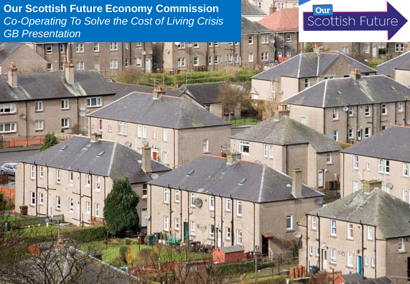**Our Scottish Future Economy Commission** *Co-Operating To Solve the Cost of Living Crisis GB Presentation*

П

П

m



H

F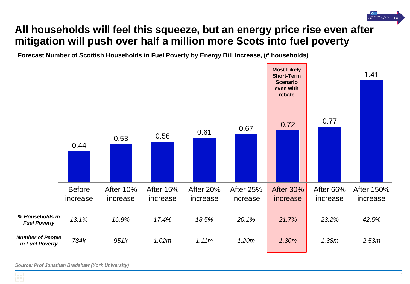

# **All households will feel this squeeze, but an energy price rise even after mitigation will push over half a million more Scots into fuel poverty**

**Forecast Number of Scottish Households in Fuel Poverty by Energy Bill Increase, (# households)**



*Source: Prof Jonathan Bradshaw (York University)*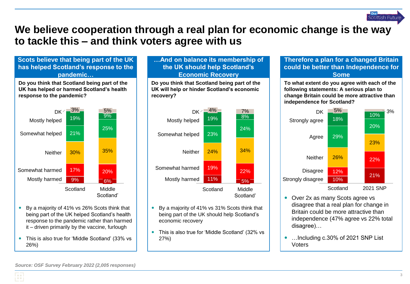

# **We believe cooperation through a real plan for economic change is the way to tackle this – and think voters agree with us**

### **Scots believe that being part of the UK has helped Scotland's response to the pandemic…**

**Do you think that Scotland being part of the UK has helped or harmed Scotland's health response to the pandemic?**



- By a majority of 41% vs 26% Scots think that being part of the UK helped Scotland's health response to the pandemic rather than harmed it – driven primarily by the vaccine, furlough
- This is also true for 'Middle Scotland' (33% vs 26%)

#### **…And on balance its membership of the UK should help Scotland's Economic Recovery**

**Do you think that Scotland being part of the UK will help or hinder Scotland's economic recovery?**



- By a majority of 41% vs 31% Scots think that being part of the UK should help Scotland's economic recovery
- This is also true for 'Middle Scotland' (32% vs 27%)

#### **Therefore a plan for a changed Britain could be better than Independence for Some**

**To what extent do you agree with each of the following statements: A serious plan to change Britain could be more attractive than independence for Scotland?**



- Over 2x as many Scots agree vs disagree that a real plan for change in Britain could be more attractive than independence (47% agree vs 22% total disagree)…
- ... Including c.30% of 2021 SNP List Voters

*Source: OSF Survey February 2022 (2,005 responses)*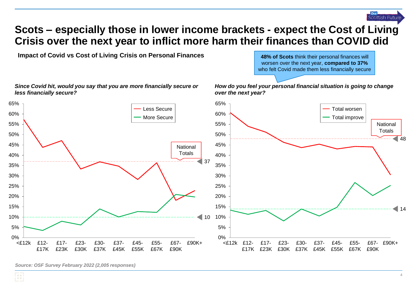

### **Scots – especially those in lower income brackets - expect the Cost of Living Crisis over the next year to inflict more harm their finances than COVID did**

**Impact of Covid vs Cost of Living Crisis on Personal Finances <b>48% of Scots** think their personal finances will

worsen over the next year, **compared to 37%**  who felt Covid made them less financially secure

*How do you feel your personal financial situation is going to change* 



*Since Covid hit, would you say that you are more financially secure or less financially secure?*

*Source: OSF Survey February 2022 (2,005 responses)*

المحا **LEE** L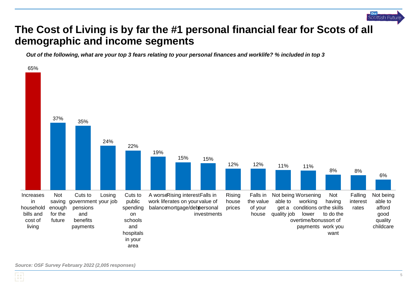

# **The Cost of Living is by far the #1 personal financial fear for Scots of all demographic and income segments**

*Out of the following, what are your top 3 fears relating to your personal finances and worklife? % included in top 3*

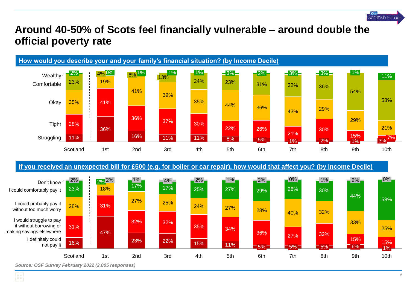

# **Around 40-50% of Scots feel financially vulnerable – around double the official poverty rate**



**If you received an unexpected bill for £500 (e.g. for boiler or car repair), how would that affect you? (by Income Decile)**



*Source: OSF Survey February 2022 (2,005 responses)*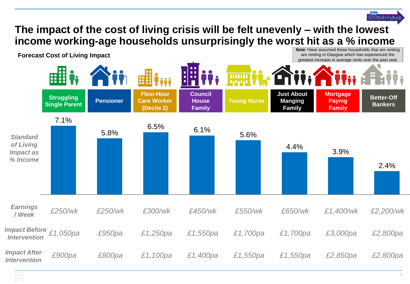### **The impact of the cost of living crisis will be felt unevenly – with the lowest income working-age households unsurprisingly the worst hit as a % income Note**: Have assumed those households that are renting

**Forecast Cost of Living Impact**



Scottish Future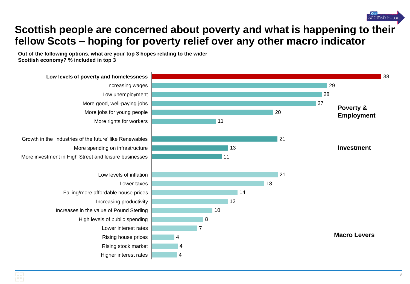

# **Scottish people are concerned about poverty and what is happening to their fellow Scots – hoping for poverty relief over any other macro indicator**

**Out of the following options, what are your top 3 hopes relating to the wider Scottish economy? % included in top 3**

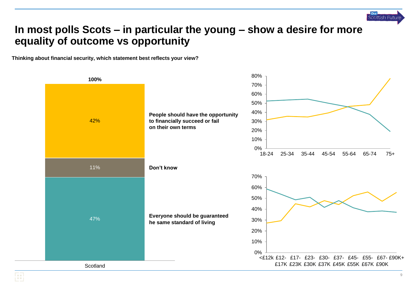

# **In most polls Scots – in particular the young – show a desire for more equality of outcome vs opportunity**

**Thinking about financial security, which statement best reflects your view?**

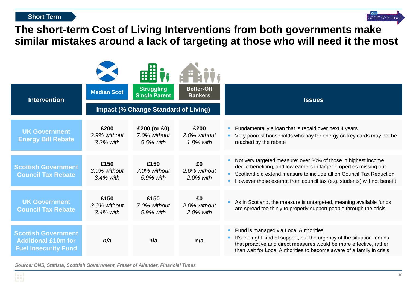#### **Short Term**



# **The short-term Cost of Living Interventions from both governments make similar mistakes around a lack of targeting at those who will need it the most**

| <b>Intervention</b>                                                                     | <b>Median Scot</b>                          | <b>Struggling</b><br><b>Single Parent</b>      | <b>Better-Off</b><br><b>Bankers</b>  | <b>Issues</b>                                                                                                                                                                                                                                                                          |
|-----------------------------------------------------------------------------------------|---------------------------------------------|------------------------------------------------|--------------------------------------|----------------------------------------------------------------------------------------------------------------------------------------------------------------------------------------------------------------------------------------------------------------------------------------|
|                                                                                         | <b>Impact (% Change Standard of Living)</b> |                                                |                                      |                                                                                                                                                                                                                                                                                        |
| <b>UK Government</b><br><b>Energy Bill Rebate</b>                                       | £200<br>3.9% without<br>3.3% with           | $£200$ (or $£0$ )<br>7.0% without<br>5.5% with | £200<br>2.0% without<br>$1.8\%$ with | Fundamentally a loan that is repaid over next 4 years<br>Very poorest households who pay for energy on key cards may not be<br>reached by the rebate                                                                                                                                   |
| <b>Scottish Government</b><br><b>Council Tax Rebate</b>                                 | £150<br>3.9% without<br>$3.4\%$ with        | £150<br>7.0% without<br>5.9% with              | £0<br>2.0% without<br>$2.0\%$ with   | Not very targeted measure: over 30% of those in highest income<br>decile benefiting, and low earners in larger properties missing out<br>Scotland did extend measure to include all on Council Tax Reduction<br>However those exempt from council tax (e.g. students) will not benefit |
| <b>UK Government</b><br><b>Council Tax Rebate</b>                                       | £150<br>3.9% without<br>$3.4\%$ with        | £150<br>7.0% without<br>5.9% with              | £0<br>2.0% without<br>2.0% with      | As in Scotland, the measure is untargeted, meaning available funds<br>are spread too thinly to properly support people through the crisis                                                                                                                                              |
| <b>Scottish Government</b><br><b>Additional £10m for</b><br><b>Fuel Insecurity Fund</b> | n/a                                         | n/a                                            | n/a                                  | Fund is managed via Local Authorities<br>It's the right kind of support, but the urgency of the situation means<br>that proactive and direct measures would be more effective, rather<br>than wait for Local Authorities to become aware of a family in crisis                         |

*Source: ONS, Statista, Scottish Government, Fraser of Allander, Financial Times*

FЛ iΞ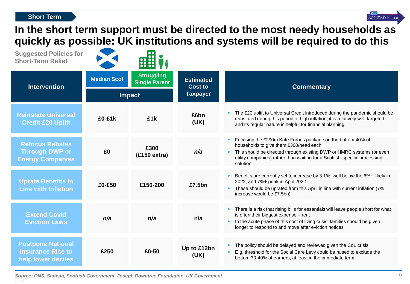#### **Short Term**



**In the short term support must be directed to the most needy households as quickly as possible: UK institutions and systems will be required to do this**

| <b>Suggested Policies for</b><br><b>Short-Term Relief</b>                  |                    | 88                                        |                                    |                                                                                                                                                                                                                                                                                            |  |
|----------------------------------------------------------------------------|--------------------|-------------------------------------------|------------------------------------|--------------------------------------------------------------------------------------------------------------------------------------------------------------------------------------------------------------------------------------------------------------------------------------------|--|
| <b>Intervention</b>                                                        | <b>Median Scot</b> | <b>Struggling</b><br><b>Single Parent</b> | <b>Estimated</b><br><b>Cost to</b> | <b>Commentary</b>                                                                                                                                                                                                                                                                          |  |
|                                                                            | <b>Impact</b>      |                                           | <b>Taxpayer</b>                    |                                                                                                                                                                                                                                                                                            |  |
| <b>Reinstate Universal</b><br><b>Credit £20 Uplift</b>                     | £0-£1k             | £1k                                       | £6bn<br>(UK)                       | The £20 uplift to Universal Credit introduced during the pandemic should be<br>reinstated during this period of high inflation; it is relatively well targeted,<br>and its regular nature is helpful for financial planning                                                                |  |
| <b>Refocus Rebates</b><br><b>Through DWP or</b><br><b>Energy Companies</b> | £0                 | £300<br>(£150 extra)                      | n/a                                | Focusing the £290m Kate Forbes package on the bottom 40% of<br>households to give them £300/head each<br>This should be directed through existing DWP or HMRC systems (or even<br>utility companies) rather than waiting for a Scottish-specific processing<br>solution                    |  |
| <b>Uprate Benefits In</b><br><b>Line with Inflation</b>                    | £0-£50             | £150-200                                  | £7.5bn                             | Benefits are currently set to increase by 3.1%, well below the 6%+ likely in<br>2022, and 7%+ peak in April 2022<br>These should be uprated from this April in line with current inflation (7%<br>$\bullet$<br>increase would be £7.5bn)                                                   |  |
| <b>Extend Covid</b><br><b>Eviction Laws</b>                                | n/a                | n/a                                       | n/a                                | There is a risk that rising bills for essentials will leave people short for what<br>$\bullet$<br>is often their biggest expense - rent<br>In the acute phase of this cost of living crisis, families should be given<br>$\bullet$<br>longer to respond to and move after eviction notices |  |
| <b>Postpone National</b><br><b>Insurance Rise to</b><br>help lower deciles | £250               | £0-50                                     | Up to £12bn<br>(UK)                | The policy should be delayed and reviewed given the CoL crisis<br>E.g. threshold for the Social Care Levy could be raised to exclude the<br>bottom 30-40% of earners, at least in the immediate term                                                                                       |  |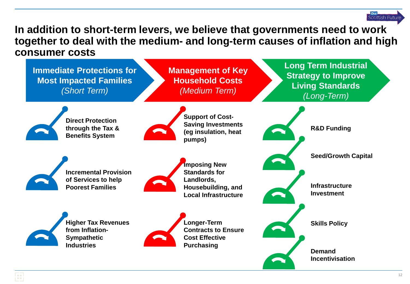

### **In addition to short-term levers, we believe that governments need to work together to deal with the medium- and long-term causes of inflation and high consumer costs**

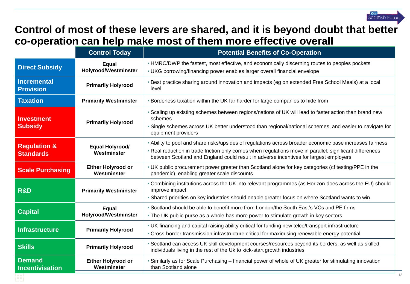

# **Control of most of these levers are shared, and it is beyond doubt that better co-operation can help make most of them more effective overall**

|                                             | <b>Control Today</b>                     | <b>Potential Benefits of Co-Operation</b>                                                                                                                                                                                                                                                                     |  |
|---------------------------------------------|------------------------------------------|---------------------------------------------------------------------------------------------------------------------------------------------------------------------------------------------------------------------------------------------------------------------------------------------------------------|--|
| <b>Direct Subsidy</b>                       | Equal<br><b>Holyrood/Westminster</b>     | • HMRC/DWP the fastest, most effective, and economically discerning routes to peoples pockets<br>• UKG borrowing/financing power enables larger overall financial envelope                                                                                                                                    |  |
| <b>Incremental</b><br><b>Provision</b>      | <b>Primarily Holyrood</b>                | • Best practice sharing around innovation and impacts (eg on extended Free School Meals) at a local<br>level                                                                                                                                                                                                  |  |
| <b>Taxation</b>                             | <b>Primarily Westminster</b>             | . Borderless taxation within the UK far harder for large companies to hide from                                                                                                                                                                                                                               |  |
| <b>Investment</b><br><b>Subsidy</b>         | <b>Primarily Holyrood</b>                | . Scaling up existing schemes between regions/nations of UK will lead to faster action than brand new<br>schemes<br>• Single schemes across UK better understood than regional/national schemes, and easier to navigate for<br>equipment providers                                                            |  |
| <b>Regulation &amp;</b><br><b>Standards</b> | <b>Equal Holyrood/</b><br>Westminster    | . Ability to pool and share risks/upsides of regulations across broader economic base increases fairness<br>. Real reduction in trade friction only comes when regulations move in parallel: significant differences<br>between Scotland and England could result in adverse incentives for largest employers |  |
| <b>Scale Purchasing</b>                     | <b>Either Holyrood or</b><br>Westminster | . UK public procurement power greater than Scotland alone for key categories (cf testing/PPE in the<br>pandemic), enabling greater scale discounts                                                                                                                                                            |  |
| <b>R&amp;D</b>                              | <b>Primarily Westminster</b>             | • Combining institutions across the UK into relevant programmes (as Horizon does across the EU) should<br>improve impact<br>• Shared priorities on key industries should enable greater focus on where Scotland wants to win                                                                                  |  |
| <b>Capital</b>                              | Equal<br><b>Holyrood/Westminster</b>     | . Scotland should be able to benefit more from London/the South East's VCs and PE firms<br>• The UK public purse as a whole has more power to stimulate growth in key sectors                                                                                                                                 |  |
| <b>Infrastructure</b>                       | <b>Primarily Holyrood</b>                | • UK financing and capital raising ability critical for funding new telco/transport infrastructure<br>• Cross-border transmission infrastructure critical for maximising renewable energy potential                                                                                                           |  |
| <b>Skills</b>                               | <b>Primarily Holyrood</b>                | · Scotland can access UK skill development courses/resources beyond its borders, as well as skilled<br>individuals living in the rest of the Uk to kick-start growth industries                                                                                                                               |  |
| <b>Demand</b><br><b>Incentivisation</b>     | <b>Either Holyrood or</b><br>Westminster | Similarly as for Scale Purchasing - financial power of whole of UK greater for stimulating innovation<br>than Scotland alone                                                                                                                                                                                  |  |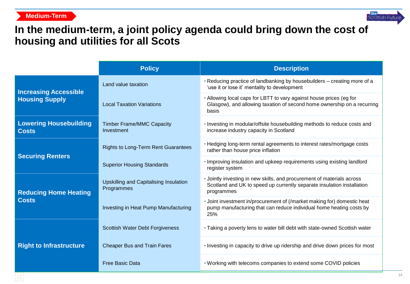### **Medium-Term**



# **In the medium-term, a joint policy agenda could bring down the cost of housing and utilities for all Scots**

|                                                                                                                                                     | <b>Policy</b>                                                                                                                                         | <b>Description</b>                                                                                                                                             |  |  |
|-----------------------------------------------------------------------------------------------------------------------------------------------------|-------------------------------------------------------------------------------------------------------------------------------------------------------|----------------------------------------------------------------------------------------------------------------------------------------------------------------|--|--|
| <b>Increasing Accessible</b>                                                                                                                        | Land value taxation                                                                                                                                   | • Reducing practice of landbanking by housebuilders - creating more of a<br>'use it or lose it' mentality to development                                       |  |  |
| <b>Housing Supply</b>                                                                                                                               | <b>Local Taxation Variations</b>                                                                                                                      | • Allowing local caps for LBTT to vary against house prices (eg for<br>Glasgow), and allowing taxation of second home ownership on a recurring<br>basis        |  |  |
| <b>Lowering Housebuilding</b><br><b>Costs</b>                                                                                                       | <b>Timber Frame/MMC Capacity</b><br>Investment                                                                                                        | . Investing in modular/offsite housebuilding methods to reduce costs and<br>increase industry capacity in Scotland                                             |  |  |
| <b>Securing Renters</b>                                                                                                                             | <b>Rights to Long-Term Rent Guarantees</b>                                                                                                            | • Hedging long-term rental agreements to interest rates/mortgage costs<br>rather than house price inflation                                                    |  |  |
|                                                                                                                                                     | <b>Superior Housing Standards</b>                                                                                                                     | . Improving insulation and upkeep requirements using existing landlord<br>register system                                                                      |  |  |
| <b>Upskilling and Capitalising Insulation</b><br>Programmes<br><b>Reducing Home Heating</b><br><b>Costs</b><br>Investing in Heat Pump Manufacturing |                                                                                                                                                       | • Jointly investing in new skills, and procurement of materials across<br>Scotland and UK to speed up currently separate insulation installation<br>programmes |  |  |
|                                                                                                                                                     | • Joint investment in/procurement of (/market making for) domestic heat<br>pump manufacturing that can reduce individual home heating costs by<br>25% |                                                                                                                                                                |  |  |
|                                                                                                                                                     | Scottish Water Debt Forgiveness                                                                                                                       | • Taking a poverty lens to water bill debt with state-owned Scottish water                                                                                     |  |  |
| <b>Right to Infrastructure</b>                                                                                                                      | <b>Cheaper Bus and Train Fares</b>                                                                                                                    | . Investing in capacity to drive up ridership and drive down prices for most                                                                                   |  |  |
|                                                                                                                                                     | <b>Free Basic Data</b>                                                                                                                                | . Working with telecoms companies to extend some COVID policies                                                                                                |  |  |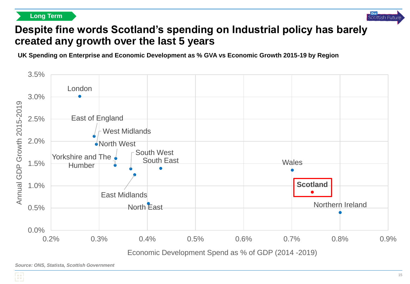**Long Term**



# **Despite fine words Scotland's spending on Industrial policy has barely created any growth over the last 5 years**

**UK Spending on Enterprise and Economic Development as % GVA vs Economic Growth 2015-19 by Region**



*Source: ONS, Statista, Scottish Government*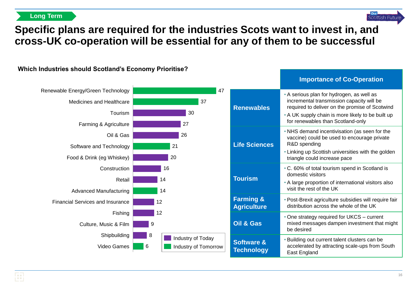**Long Term**



# **Specific plans are required for the industries Scots want to invest in, and cross-UK co-operation will be essential for any of them to be successful**



**Which Industries should Scotland's Economy Prioritise?**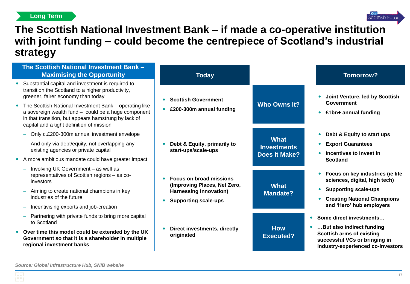### **Long Term**



## **The Scottish National Investment Bank – if made a co-operative institution with joint funding – could become the centrepiece of Scotland's industrial strategy**

|           | The Scottish National Investment Bank -<br><b>Maximising the Opportunity</b>                                                                                                                                       | <b>Today</b>                                                   |                                                           | <b>Tomorrow?</b>                                                                                                                                                                                                                                                                                                                                                                                               |
|-----------|--------------------------------------------------------------------------------------------------------------------------------------------------------------------------------------------------------------------|----------------------------------------------------------------|-----------------------------------------------------------|----------------------------------------------------------------------------------------------------------------------------------------------------------------------------------------------------------------------------------------------------------------------------------------------------------------------------------------------------------------------------------------------------------------|
|           | Substantial capital and investment is required to<br>transition the Scotland to a higher productivity,<br>greener, fairer economy than today                                                                       | <b>Scottish Government</b><br>$\bullet$                        | <b>Who Owns It?</b>                                       | Joint Venture, led by Scottish<br><b>Government</b><br>£1bn+ annual funding                                                                                                                                                                                                                                                                                                                                    |
|           | The Scottish National Investment Bank - operating like<br>a sovereign wealth fund - could be a huge component<br>in that transition, but appears hamstrung by lack of<br>capital and a tight definition of mission | £200-300m annual funding                                       |                                                           |                                                                                                                                                                                                                                                                                                                                                                                                                |
|           | Only c.£200-300m annual investment envelope<br>$\equiv$                                                                                                                                                            |                                                                |                                                           | Debt & Equity to start ups                                                                                                                                                                                                                                                                                                                                                                                     |
|           | - And only via debt/equity, not overlapping any<br>existing agencies or private capital                                                                                                                            | Debt & Equity, primarily to<br>start-ups/scale-ups             | <b>What</b><br><b>Investments</b><br><b>Does It Make?</b> | <b>Export Guarantees</b><br>Incentives to Invest in<br><b>Scotland</b><br>Focus on key industries (ie life<br>sciences, digital, high tech)<br><b>Supporting scale-ups</b><br><b>Creating National Champions</b><br>and 'Hero' hub employers<br>Some direct investments<br>But also indirect funding<br><b>Scottish arms of existing</b><br>successful VCs or bringing in<br>industry-experienced co-investors |
| $\bullet$ | A more ambitious mandate could have greater impact                                                                                                                                                                 |                                                                |                                                           |                                                                                                                                                                                                                                                                                                                                                                                                                |
|           | Involving UK Government - as well as<br>÷,<br>representatives of Scottish regions - as co-<br>investors                                                                                                            | <b>Focus on broad missions</b><br>(Improving Places, Net Zero, | <b>What</b>                                               |                                                                                                                                                                                                                                                                                                                                                                                                                |
|           | Aiming to create national champions in key<br>industries of the future                                                                                                                                             | <b>Harnessing Innovation)</b><br><b>Supporting scale-ups</b>   | <b>Mandate?</b>                                           |                                                                                                                                                                                                                                                                                                                                                                                                                |
|           | Incentivising exports and job-creation                                                                                                                                                                             |                                                                |                                                           |                                                                                                                                                                                                                                                                                                                                                                                                                |
|           | Partnering with private funds to bring more capital<br>to Scotland                                                                                                                                                 |                                                                |                                                           |                                                                                                                                                                                                                                                                                                                                                                                                                |
|           | Over time this model could be extended by the UK<br>Government so that it is a shareholder in multiple<br>regional investment banks                                                                                | <b>Direct investments, directly</b><br>originated              | <b>How</b><br><b>Executed?</b>                            |                                                                                                                                                                                                                                                                                                                                                                                                                |